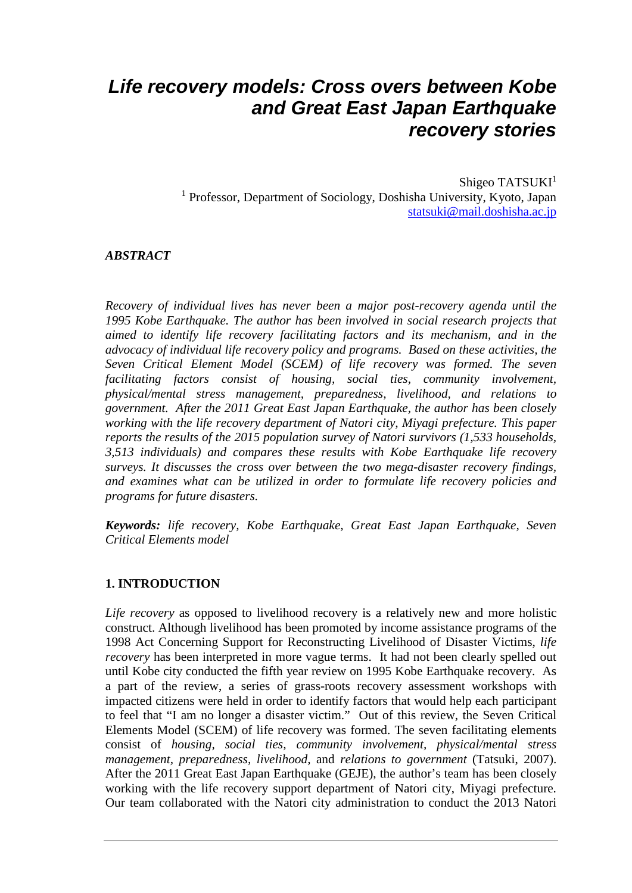# *Life recovery models: Cross overs between Kobe and Great East Japan Earthquake recovery stories*

Shigeo TATSUKI<sup>1</sup> <sup>1</sup> Professor, Department of Sociology, Doshisha University, Kyoto, Japan [statsuki@mail.doshisha.ac.jp](mailto:statsuki@mail.doshisha.ac.jp)

#### *ABSTRACT*

*Recovery of individual lives has never been a major post-recovery agenda until the 1995 Kobe Earthquake. The author has been involved in social research projects that aimed to identify life recovery facilitating factors and its mechanism, and in the advocacy of individual life recovery policy and programs. Based on these activities, the Seven Critical Element Model (SCEM) of life recovery was formed. The seven facilitating factors consist of housing, social ties, community involvement, physical/mental stress management, preparedness, livelihood, and relations to government. After the 2011 Great East Japan Earthquake, the author has been closely working with the life recovery department of Natori city, Miyagi prefecture. This paper reports the results of the 2015 population survey of Natori survivors (1,533 households, 3,513 individuals) and compares these results with Kobe Earthquake life recovery surveys. It discusses the cross over between the two mega-disaster recovery findings, and examines what can be utilized in order to formulate life recovery policies and programs for future disasters.*

*Keywords: life recovery, Kobe Earthquake, Great East Japan Earthquake, Seven Critical Elements model*

#### **1. INTRODUCTION**

*Life recovery* as opposed to livelihood recovery is a relatively new and more holistic construct. Although livelihood has been promoted by income assistance programs of the 1998 Act Concerning Support for Reconstructing Livelihood of Disaster Victims, *life recovery* has been interpreted in more vague terms. It had not been clearly spelled out until Kobe city conducted the fifth year review on 1995 Kobe Earthquake recovery. As a part of the review, a series of grass-roots recovery assessment workshops with impacted citizens were held in order to identify factors that would help each participant to feel that "I am no longer a disaster victim." Out of this review, the Seven Critical Elements Model (SCEM) of life recovery was formed. The seven facilitating elements consist of *housing, social ties, community involvement, physical/mental stress management, preparedness, livelihood,* and *relations to government* (Tatsuki, 2007). After the 2011 Great East Japan Earthquake (GEJE), the author's team has been closely working with the life recovery support department of Natori city, Miyagi prefecture. Our team collaborated with the Natori city administration to conduct the 2013 Natori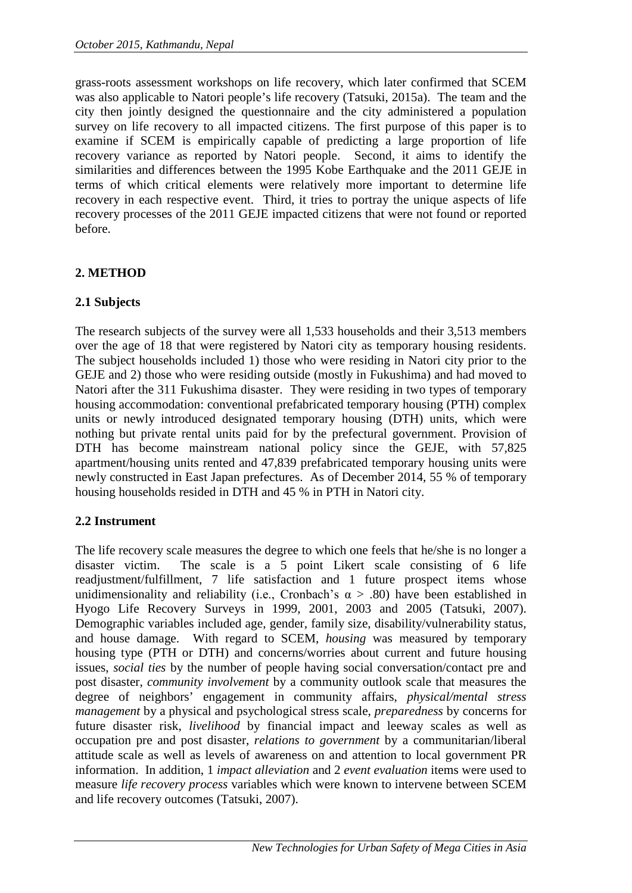grass-roots assessment workshops on life recovery, which later confirmed that SCEM was also applicable to Natori people's life recovery (Tatsuki, 2015a). The team and the city then jointly designed the questionnaire and the city administered a population survey on life recovery to all impacted citizens. The first purpose of this paper is to examine if SCEM is empirically capable of predicting a large proportion of life recovery variance as reported by Natori people. Second, it aims to identify the similarities and differences between the 1995 Kobe Earthquake and the 2011 GEJE in terms of which critical elements were relatively more important to determine life recovery in each respective event. Third, it tries to portray the unique aspects of life recovery processes of the 2011 GEJE impacted citizens that were not found or reported before.

# **2. METHOD**

# **2.1 Subjects**

The research subjects of the survey were all 1,533 households and their 3,513 members over the age of 18 that were registered by Natori city as temporary housing residents. The subject households included 1) those who were residing in Natori city prior to the GEJE and 2) those who were residing outside (mostly in Fukushima) and had moved to Natori after the 311 Fukushima disaster. They were residing in two types of temporary housing accommodation: conventional prefabricated temporary housing (PTH) complex units or newly introduced designated temporary housing (DTH) units, which were nothing but private rental units paid for by the prefectural government. Provision of DTH has become mainstream national policy since the GEJE, with 57,825 apartment/housing units rented and 47,839 prefabricated temporary housing units were newly constructed in East Japan prefectures. As of December 2014, 55 % of temporary housing households resided in DTH and 45 % in PTH in Natori city.

# **2.2 Instrument**

The life recovery scale measures the degree to which one feels that he/she is no longer a disaster victim. The scale is a 5 point Likert scale consisting of 6 life readjustment/fulfillment, 7 life satisfaction and 1 future prospect items whose unidimensionality and reliability (i.e., Cronbach's  $\alpha$  > .80) have been established in Hyogo Life Recovery Surveys in 1999, 2001, 2003 and 2005 (Tatsuki, 2007). Demographic variables included age, gender, family size, disability/vulnerability status, and house damage. With regard to SCEM, *housing* was measured by temporary housing type (PTH or DTH) and concerns/worries about current and future housing issues, *social ties* by the number of people having social conversation/contact pre and post disaster, *community involvement* by a community outlook scale that measures the degree of neighbors' engagement in community affairs, *physical/mental stress management* by a physical and psychological stress scale, *preparedness* by concerns for future disaster risk, *livelihood* by financial impact and leeway scales as well as occupation pre and post disaster, *relations to government* by a communitarian/liberal attitude scale as well as levels of awareness on and attention to local government PR information. In addition, 1 *impact alleviation* and 2 *event evaluation* items were used to measure *life recovery process* variables which were known to intervene between SCEM and life recovery outcomes (Tatsuki, 2007).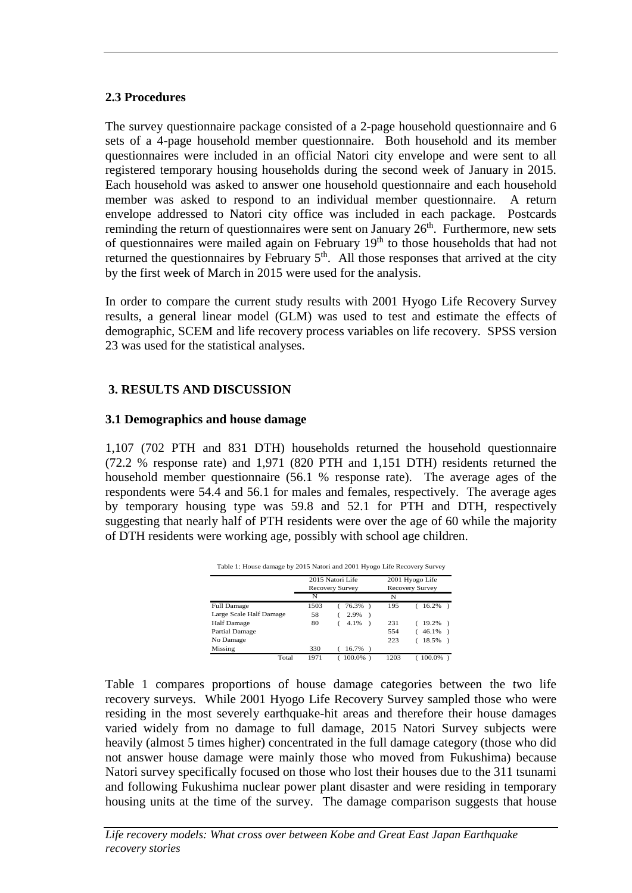#### **2.3 Procedures**

The survey questionnaire package consisted of a 2-page household questionnaire and 6 sets of a 4-page household member questionnaire. Both household and its member questionnaires were included in an official Natori city envelope and were sent to all registered temporary housing households during the second week of January in 2015. Each household was asked to answer one household questionnaire and each household member was asked to respond to an individual member questionnaire. A return envelope addressed to Natori city office was included in each package. Postcards reminding the return of questionnaires were sent on January 26<sup>th</sup>. Furthermore, new sets of questionnaires were mailed again on February 19<sup>th</sup> to those households that had not returned the questionnaires by February  $5<sup>th</sup>$ . All those responses that arrived at the city by the first week of March in 2015 were used for the analysis.

In order to compare the current study results with 2001 Hyogo Life Recovery Survey results, a general linear model (GLM) was used to test and estimate the effects of demographic, SCEM and life recovery process variables on life recovery. SPSS version 23 was used for the statistical analyses.

# **3. RESULTS AND DISCUSSION**

#### **3.1 Demographics and house damage**

1,107 (702 PTH and 831 DTH) households returned the household questionnaire (72.2 % response rate) and 1,971 (820 PTH and 1,151 DTH) residents returned the household member questionnaire (56.1 % response rate). The average ages of the respondents were 54.4 and 56.1 for males and females, respectively. The average ages by temporary housing type was 59.8 and 52.1 for PTH and DTH, respectively suggesting that nearly half of PTH residents were over the age of 60 while the majority of DTH residents were working age, possibly with school age children.

|                         | 2015 Natori Life<br>Recovery Survey |                       | 2001 Hyogo Life<br><b>Recovery Survey</b> |            |
|-------------------------|-------------------------------------|-----------------------|-------------------------------------------|------------|
|                         | N                                   |                       | N                                         |            |
| <b>Full Damage</b>      | 1503                                | 76.3%)                | 195                                       | $16.2\%$ ) |
| Large Scale Half Damage | 58                                  | 2.9%<br>$\lambda$     |                                           |            |
| <b>Half Damage</b>      | 80                                  | 4.1%<br>$\rightarrow$ | 231                                       | $19.2\%$ ) |
| Partial Damage          |                                     |                       | 554                                       | $46.1\%$ ) |
| No Damage               |                                     |                       | 223                                       | 18.5%      |
| Missing                 | 330                                 | 16.7%                 |                                           |            |
| Total                   | 1971                                | $100.0\%$ )           | 1203                                      | 100.0%     |

Table 1 compares proportions of house damage categories between the two life recovery surveys. While 2001 Hyogo Life Recovery Survey sampled those who were residing in the most severely earthquake-hit areas and therefore their house damages varied widely from no damage to full damage, 2015 Natori Survey subjects were heavily (almost 5 times higher) concentrated in the full damage category (those who did not answer house damage were mainly those who moved from Fukushima) because Natori survey specifically focused on those who lost their houses due to the 311 tsunami and following Fukushima nuclear power plant disaster and were residing in temporary housing units at the time of the survey. The damage comparison suggests that house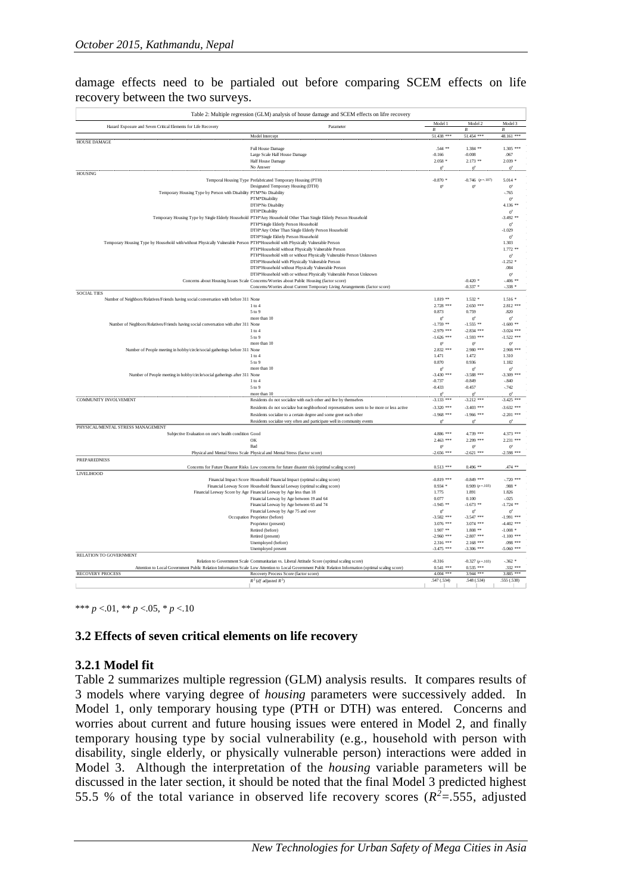damage effects need to be partialed out before comparing SCEM effects on life recovery between the two surveys.

| Table 2: Multiple regression (GLM) analysis of house damage and SCEM effects on lifre recovery                                |                                                                                                                                                       |                             |                                 |                             |  |  |  |
|-------------------------------------------------------------------------------------------------------------------------------|-------------------------------------------------------------------------------------------------------------------------------------------------------|-----------------------------|---------------------------------|-----------------------------|--|--|--|
| Hazard Exposure and Seven Critical Elements for Life Recovery                                                                 | Parameter                                                                                                                                             | Model 1<br>$\boldsymbol{R}$ | Model 2<br>$\boldsymbol{B}$     | Model 3<br>$\boldsymbol{B}$ |  |  |  |
|                                                                                                                               | Model Intercept                                                                                                                                       | 51.438 ***                  | 51.454 ***                      | 48.161 ***                  |  |  |  |
| HOUSE DAMAGE                                                                                                                  | Full House Damage                                                                                                                                     | .544 **                     | $1.384$ **                      | $1.305$ ***                 |  |  |  |
|                                                                                                                               | Large Scale Half House Damage                                                                                                                         | $-0.166$                    | $-0.008$                        | .067                        |  |  |  |
|                                                                                                                               | Half House Damage                                                                                                                                     | $2.058*$                    | $2.173$ **                      | $2.039*$                    |  |  |  |
|                                                                                                                               | No Answer                                                                                                                                             | $0^{\circ}$                 | $0^a$                           | $0^{\circ}$                 |  |  |  |
| <b>HOUSING</b>                                                                                                                |                                                                                                                                                       |                             |                                 |                             |  |  |  |
|                                                                                                                               | Temporal Housing Type Prefabricated Temporary Housing (PTH)<br>Designated Temporary Housing (DTH)                                                     | $-0.870*$<br>0 <sup>2</sup> | $-0.746$ ( $p = 107$ )<br>$0^a$ | $5.014*$<br>0 <sup>2</sup>  |  |  |  |
| Temporary Housing Type by Person with Disability PTM*No Disability                                                            |                                                                                                                                                       |                             |                                 | $-765$                      |  |  |  |
|                                                                                                                               | PTM*Disability                                                                                                                                        |                             |                                 | 0 <sup>2</sup>              |  |  |  |
|                                                                                                                               | DTH*No Disability                                                                                                                                     |                             |                                 | 4.136 **                    |  |  |  |
|                                                                                                                               | DTH*Disability                                                                                                                                        |                             |                                 | $0^2$                       |  |  |  |
|                                                                                                                               | Temporary Housing Type by Single Elderly Household PTH*Any Household Other Than Single Elderly Person Household                                       |                             |                                 | $-3.492$ **                 |  |  |  |
|                                                                                                                               | PTH*Single Elderly Person Household                                                                                                                   |                             |                                 | $0^{\circ}$                 |  |  |  |
|                                                                                                                               | DTH*Any Other Than Single Elderly Person Household                                                                                                    |                             |                                 | $-1.029$                    |  |  |  |
| Temporary Housing Type by Household with/without Physically Vulnerable Person PTH*Household with Physically Vulnerable Person | DTH*Single Elderly Person Household                                                                                                                   |                             |                                 | $\sigma$<br>1.303           |  |  |  |
|                                                                                                                               | PTH*Household without Physically Vulnerable Person                                                                                                    |                             |                                 | $1.772**$                   |  |  |  |
|                                                                                                                               | PTH*Household with or without Physically Vulnerable Person Unknown                                                                                    |                             |                                 | 0 <sup>2</sup>              |  |  |  |
|                                                                                                                               | DTH*Household with Physically Vulnerable Person                                                                                                       |                             |                                 | $-1.252$ *                  |  |  |  |
|                                                                                                                               | DTH <sup>®</sup> Household without Physically Vulnerable Person                                                                                       |                             |                                 | .084                        |  |  |  |
|                                                                                                                               | DTH*Household with or without Physically Vulnerable Person Unknown                                                                                    |                             |                                 | $0^2$                       |  |  |  |
|                                                                                                                               | Concerns about Housing Issues Scale Concerns/Worries about Public Housing (factor score)                                                              |                             | $-0.420$ *                      | $-406$ **                   |  |  |  |
| <b>SOCIAL TIES</b>                                                                                                            | Concerns/Worries about Current Temporary Living Arrangements (factor score)                                                                           |                             | $-0.337$ *                      | $-.338*$                    |  |  |  |
| Number of Neighbors/Relatives/Friends having social conversation with before 311 None                                         |                                                                                                                                                       | $1.819**$                   | $1.532*$                        | $1.516*$                    |  |  |  |
|                                                                                                                               | $1$ to $4$                                                                                                                                            | 2.728 ***                   | $2.650***$                      | 2.812 ***                   |  |  |  |
|                                                                                                                               | 5 to 9                                                                                                                                                | 0.873                       | 0.759                           | .820                        |  |  |  |
|                                                                                                                               | more than 10                                                                                                                                          | 0 <sup>2</sup>              | $0^a$                           | $0^{\circ}$                 |  |  |  |
| Number of Neghbors/Relatives/Friends having social conversation with after 311 None                                           |                                                                                                                                                       | $-1.759$ **                 | $-1.555$ **                     | $-1.600**$                  |  |  |  |
|                                                                                                                               | $1$ to $4$                                                                                                                                            | $-2.979$ ***                | $-2.834$ ***                    | $-3.024$ ***                |  |  |  |
|                                                                                                                               | $5$ to $9\,$                                                                                                                                          | $-1.626$ ***                | $-1.593$ ***                    | $-1.522$ ***                |  |  |  |
| Number of People meeting in hobby/circle/social gatherings before 311 None                                                    | more than 10                                                                                                                                          | $0^2$<br>2.832 ***          | $0^2$<br>$2.980***$             | $0^2$<br>2.908 ***          |  |  |  |
|                                                                                                                               | $1$ to $4$                                                                                                                                            | 1.471                       | 1.472                           | 1.310                       |  |  |  |
|                                                                                                                               | 5 to 9                                                                                                                                                | 0.870                       | 0.936                           | 1.182                       |  |  |  |
|                                                                                                                               | more than 10                                                                                                                                          | $0^2$                       | $0^2$                           | $0^2$                       |  |  |  |
| Number of People meeting in hobby/circle/social gatherings after 311 None                                                     |                                                                                                                                                       | $-3.430$ ***                | $-3.588$ ***                    | $-3.309$ ***                |  |  |  |
|                                                                                                                               | $1$ to $4\,$                                                                                                                                          | $-0.737$                    | $-0.849$                        | $-.840$                     |  |  |  |
|                                                                                                                               | 5 to 9<br>more than 10                                                                                                                                | $-0.433$<br>$0^{\rm a}$     | $-0.457$<br>$0^a$               | $-.742$<br>$0^2$            |  |  |  |
| <b>COMMUNITY INVOLVEMENT</b>                                                                                                  | Residents do not socialize with each other and live by themselves                                                                                     | $-3.133$ ***                | $-3.212$ ***                    | $-3.425$ ***                |  |  |  |
|                                                                                                                               | Residents do not socialize but neghborhood representatives seem to be more or less active                                                             | $-3320$ ***                 | $-3.403$ ***                    | $-3.632$ ***                |  |  |  |
|                                                                                                                               | Residents socialize to a certain degree and some greet each other                                                                                     | $-1.968$ ***                | $-1.966$ ***                    | $-2.201$ ***                |  |  |  |
|                                                                                                                               | Residents socialize very often and participate well in community events                                                                               | 0 <sup>2</sup>              | $0^a$                           | $0^2$                       |  |  |  |
| PHYSICAL/MENTAL STRESS MANAGEMENT                                                                                             |                                                                                                                                                       |                             |                                 |                             |  |  |  |
| Subjective Evaluation on one's health condition Good                                                                          |                                                                                                                                                       | 4.886 ***                   | 4.739 ***                       | 4.373 ***                   |  |  |  |
|                                                                                                                               | OK                                                                                                                                                    | 2.463 ***                   | 2.299 ***                       | 2.231 ***                   |  |  |  |
|                                                                                                                               | Bad                                                                                                                                                   | $0^2$                       | $0^2$                           | $0^\circ$                   |  |  |  |
|                                                                                                                               | Physical and Mental Stress Scale Physical and Mental Stress (factor score)                                                                            | $-2.656$ ***                | $-2.621$ ***                    | $-2.598$ ***                |  |  |  |
| <b>PREPAREDNESS</b>                                                                                                           |                                                                                                                                                       |                             |                                 |                             |  |  |  |
| LIVELIHOOD                                                                                                                    | Concerns for Future Disaster Risks Low concerns for future disaster risk (optimal scaling score)                                                      | $0.513$ ***                 | $0.496$ **                      | .474 **                     |  |  |  |
|                                                                                                                               | Financial Impact Score Household Financial Impact (optimal scaling score)                                                                             | $-0.819***$                 | $-0.849$ ***                    | $-720$ ***                  |  |  |  |
|                                                                                                                               | Financial Leeway Score Household financial Leeway (optimal scaling score)                                                                             | $0.934*$                    | $0.909(p=.103)$                 | $.988*$                     |  |  |  |
|                                                                                                                               | Financial Leeway Score by Age Financial Leeway by Age less than 18                                                                                    | 1.775                       | 1.891                           | 1.826                       |  |  |  |
|                                                                                                                               | Financial Leeway by Age between 19 and 64                                                                                                             | 0.077                       | 0.100                           | $-.025$                     |  |  |  |
|                                                                                                                               | Financial Leeway by Age between 65 and 74                                                                                                             | $-1.945$ **                 | $-1.673$ **                     | $-1.724$ **                 |  |  |  |
|                                                                                                                               | Financial Leeway by Age 75 and over                                                                                                                   | $0^2$                       | $0^2$                           | $0^2$                       |  |  |  |
|                                                                                                                               | Occupation Proprietor (before)                                                                                                                        | $-3.582$ ***                | $-3.547$ ***                    | $-1.991$ ***                |  |  |  |
|                                                                                                                               | Proprietor (present)                                                                                                                                  | 3.076 ***<br>$1.907**$      | $3.074$ ***<br>$1.808$ **       | $-4.402$ ***<br>$-1.008$ *  |  |  |  |
|                                                                                                                               | Retired (before)<br>Retired (present)                                                                                                                 | $-2.960$ ***                | $-2.807$ ***                    | $-1.100$ ***                |  |  |  |
|                                                                                                                               | Unemployed (before)                                                                                                                                   | 2.316 ***                   | $2.168***$                      | $.098***$                   |  |  |  |
|                                                                                                                               | Unemployed present                                                                                                                                    | $-3.475$ ***                | $-3.306$ ***                    | $-5.060$ ***                |  |  |  |
| <b>RELATION TO GOVERNMENT</b>                                                                                                 |                                                                                                                                                       |                             |                                 |                             |  |  |  |
|                                                                                                                               | Relation to Government Scale Communitarian vs. Liberal Attitude Score (optimal scaling score)                                                         | $-0.316$                    | $-0.327(p=.103)$                | $-.362*$                    |  |  |  |
|                                                                                                                               | Attention to Local Government Public Relation Information Scale Low Attention to Local Government Public Relation Information (optimal scaling score) | $0.541$ ***                 | $0.535***$                      | .332 ***                    |  |  |  |
| <b>RECOVERY PROCESS</b>                                                                                                       | Recovery Process Score (factor score)                                                                                                                 | $4.004$ ***                 | 3.944 ***                       | 3.885 ***                   |  |  |  |
|                                                                                                                               | $R^2$ (df adjusted $R^2$ )                                                                                                                            | .547 (.534)                 | .548 (.534)                     | .555 (.538)                 |  |  |  |

\*\*\* *p* <.01, \*\* *p* <.05, \* *p* <.10

# **3.2 Effects of seven critical elements on life recovery**

# **3.2.1 Model fit**

Table 2 summarizes multiple regression (GLM) analysis results. It compares results of 3 models where varying degree of *housing* parameters were successively added. In Model 1, only temporary housing type (PTH or DTH) was entered. Concerns and worries about current and future housing issues were entered in Model 2, and finally temporary housing type by social vulnerability (e.g., household with person with disability, single elderly, or physically vulnerable person) interactions were added in Model 3. Although the interpretation of the *housing* variable parameters will be discussed in the later section, it should be noted that the final Model 3 predicted highest 55.5 % of the total variance in observed life recovery scores ( $R^2$ =.555, adjusted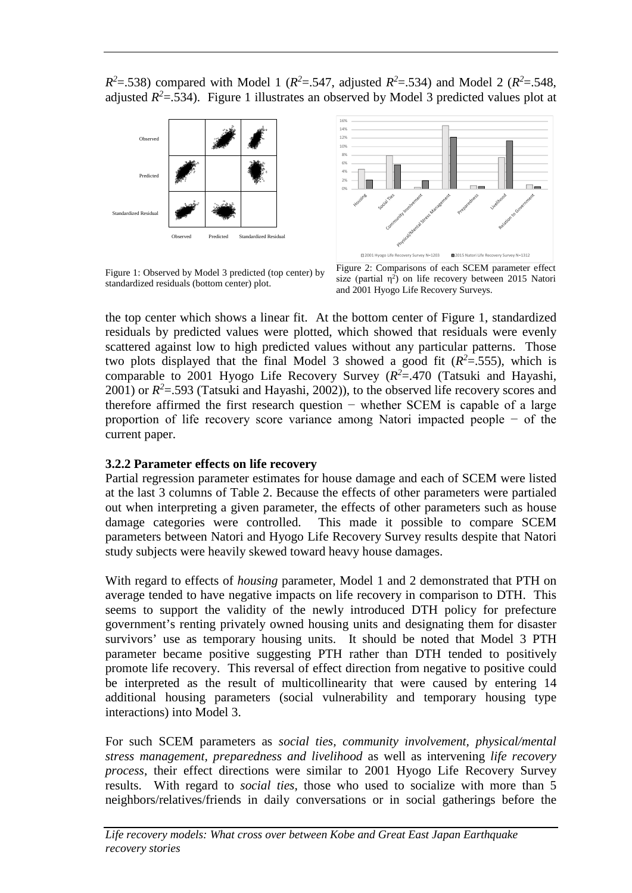$R^2$ =.538) compared with Model 1 ( $R^2$ =.547, adjusted  $R^2$ =.534) and Model 2 ( $R^2$ =.548, adjusted  $R^2 = .534$ ). Figure 1 illustrates an observed by Model 3 predicted values plot at



Figure 1: Observed by Model 3 predicted (top center) by standardized residuals (bottom center) plot.



Figure 2: Comparisons of each SCEM parameter effect size (partial  $\eta^2$ ) on life recovery between 2015 Natori and 2001 Hyogo Life Recovery Surveys.

the top center which shows a linear fit. At the bottom center of Figure 1, standardized residuals by predicted values were plotted, which showed that residuals were evenly scattered against low to high predicted values without any particular patterns. Those two plots displayed that the final Model 3 showed a good fit  $(R^2 = .555)$ , which is comparable to 2001 Hyogo Life Recovery Survey  $(R^2 = .470$  (Tatsuki and Hayashi, 2001) or  $R^2$ =.593 (Tatsuki and Hayashi, 2002)), to the observed life recovery scores and therefore affirmed the first research question − whether SCEM is capable of a large proportion of life recovery score variance among Natori impacted people − of the current paper.

# **3.2.2 Parameter effects on life recovery**

Partial regression parameter estimates for house damage and each of SCEM were listed at the last 3 columns of Table 2. Because the effects of other parameters were partialed out when interpreting a given parameter, the effects of other parameters such as house damage categories were controlled. This made it possible to compare SCEM parameters between Natori and Hyogo Life Recovery Survey results despite that Natori study subjects were heavily skewed toward heavy house damages.

With regard to effects of *housing* parameter, Model 1 and 2 demonstrated that PTH on average tended to have negative impacts on life recovery in comparison to DTH. This seems to support the validity of the newly introduced DTH policy for prefecture government's renting privately owned housing units and designating them for disaster survivors' use as temporary housing units. It should be noted that Model 3 PTH parameter became positive suggesting PTH rather than DTH tended to positively promote life recovery. This reversal of effect direction from negative to positive could be interpreted as the result of multicollinearity that were caused by entering 14 additional housing parameters (social vulnerability and temporary housing type interactions) into Model 3.

For such SCEM parameters as *social ties, community involvement, physical/mental stress management, preparedness and livelihood* as well as intervening *life recovery process*, their effect directions were similar to 2001 Hyogo Life Recovery Survey results. With regard to *social ties*, those who used to socialize with more than 5 neighbors/relatives/friends in daily conversations or in social gatherings before the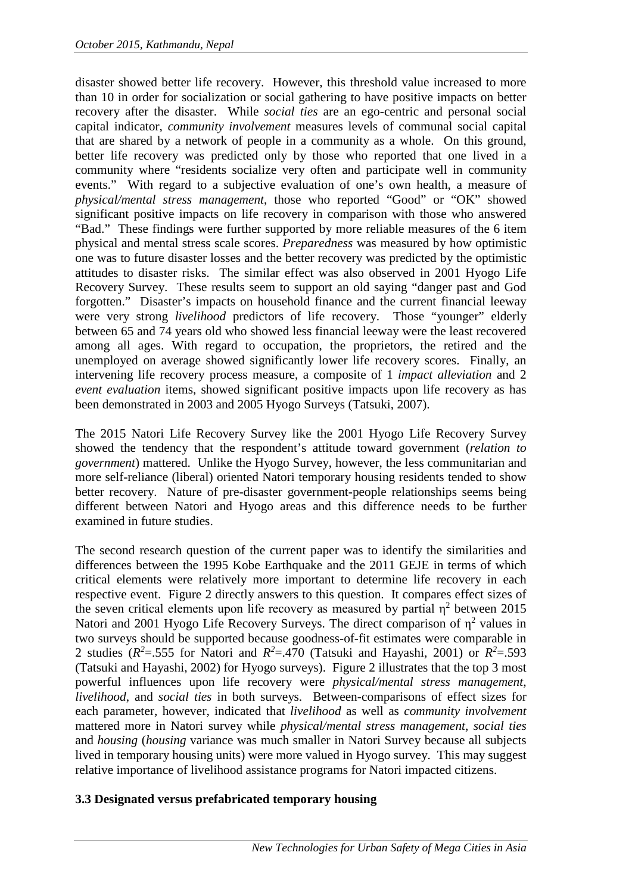disaster showed better life recovery. However, this threshold value increased to more than 10 in order for socialization or social gathering to have positive impacts on better recovery after the disaster. While *social ties* are an ego-centric and personal social capital indicator, *community involvement* measures levels of communal social capital that are shared by a network of people in a community as a whole. On this ground, better life recovery was predicted only by those who reported that one lived in a community where "residents socialize very often and participate well in community events." With regard to a subjective evaluation of one's own health, a measure of *physical/mental stress management*, those who reported "Good" or "OK" showed significant positive impacts on life recovery in comparison with those who answered "Bad." These findings were further supported by more reliable measures of the 6 item physical and mental stress scale scores. *Preparedness* was measured by how optimistic one was to future disaster losses and the better recovery was predicted by the optimistic attitudes to disaster risks. The similar effect was also observed in 2001 Hyogo Life Recovery Survey. These results seem to support an old saying "danger past and God forgotten." Disaster's impacts on household finance and the current financial leeway were very strong *livelihood* predictors of life recovery. Those "younger" elderly between 65 and 74 years old who showed less financial leeway were the least recovered among all ages. With regard to occupation, the proprietors, the retired and the unemployed on average showed significantly lower life recovery scores. Finally, an intervening life recovery process measure, a composite of 1 *impact alleviation* and 2 *event evaluation* items, showed significant positive impacts upon life recovery as has been demonstrated in 2003 and 2005 Hyogo Surveys (Tatsuki, 2007).

The 2015 Natori Life Recovery Survey like the 2001 Hyogo Life Recovery Survey showed the tendency that the respondent's attitude toward government (*relation to government*) mattered. Unlike the Hyogo Survey, however, the less communitarian and more self-reliance (liberal) oriented Natori temporary housing residents tended to show better recovery. Nature of pre-disaster government-people relationships seems being different between Natori and Hyogo areas and this difference needs to be further examined in future studies.

The second research question of the current paper was to identify the similarities and differences between the 1995 Kobe Earthquake and the 2011 GEJE in terms of which critical elements were relatively more important to determine life recovery in each respective event. Figure 2 directly answers to this question. It compares effect sizes of the seven critical elements upon life recovery as measured by partial  $\eta^2$  between 2015 Natori and 2001 Hyogo Life Recovery Surveys. The direct comparison of  $\eta^2$  values in two surveys should be supported because goodness-of-fit estimates were comparable in 2 studies ( $R^2$ =.555 for Natori and  $R^2$ =.470 (Tatsuki and Hayashi, 2001) or  $R^2$ =.593 (Tatsuki and Hayashi, 2002) for Hyogo surveys). Figure 2 illustrates that the top 3 most powerful influences upon life recovery were *physical/mental stress management*, *livelihood*, and *social ties* in both surveys. Between-comparisons of effect sizes for each parameter, however, indicated that *livelihood* as well as *community involvement* mattered more in Natori survey while *physical/mental stress management*, *social ties* and *housing* (*housing* variance was much smaller in Natori Survey because all subjects lived in temporary housing units) were more valued in Hyogo survey. This may suggest relative importance of livelihood assistance programs for Natori impacted citizens.

# **3.3 Designated versus prefabricated temporary housing**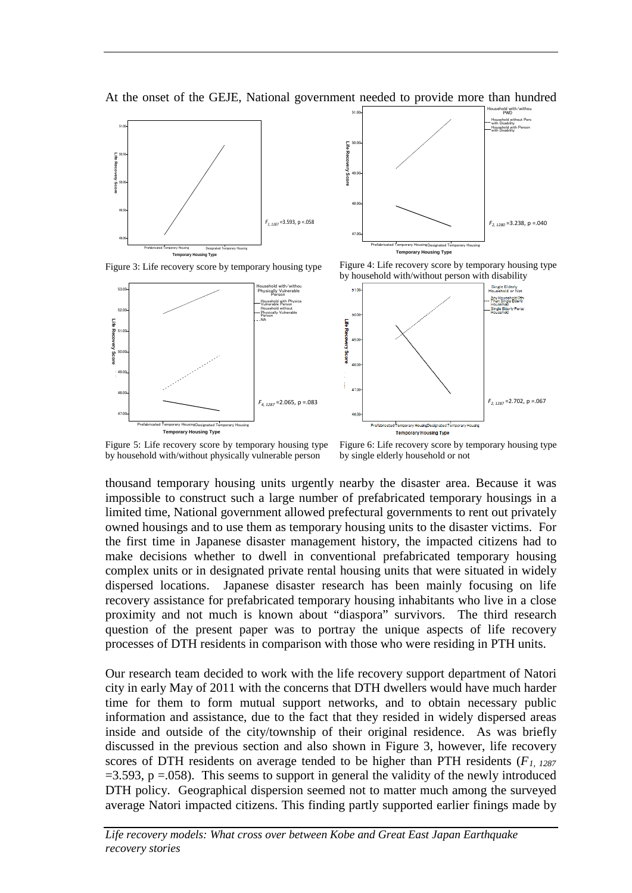



**Life Recovery Score** Recover 50.00 49.00 48.00 *F4, 1287* =2.065, p =.083 47.00 Prefabricated Temporary HousingDesignated Temporary Housing **Temporary Housing Type**







Figure 5: Life recovery score by temporary housing type by household with/without physically vulnerable person

Figure 6: Life recovery score by temporary housing type by single elderly household or not

thousand temporary housing units urgently nearby the disaster area. Because it was impossible to construct such a large number of prefabricated temporary housings in a limited time, National government allowed prefectural governments to rent out privately owned housings and to use them as temporary housing units to the disaster victims. For the first time in Japanese disaster management history, the impacted citizens had to make decisions whether to dwell in conventional prefabricated temporary housing complex units or in designated private rental housing units that were situated in widely dispersed locations. Japanese disaster research has been mainly focusing on life recovery assistance for prefabricated temporary housing inhabitants who live in a close proximity and not much is known about "diaspora" survivors. The third research question of the present paper was to portray the unique aspects of life recovery processes of DTH residents in comparison with those who were residing in PTH units.

Our research team decided to work with the life recovery support department of Natori city in early May of 2011 with the concerns that DTH dwellers would have much harder time for them to form mutual support networks, and to obtain necessary public information and assistance, due to the fact that they resided in widely dispersed areas inside and outside of the city/township of their original residence. As was briefly discussed in the previous section and also shown in Figure 3, however, life recovery scores of DTH residents on average tended to be higher than PTH residents (*F1, 1287*  $=3.593$ ,  $p = .058$ ). This seems to support in general the validity of the newly introduced DTH policy. Geographical dispersion seemed not to matter much among the surveyed average Natori impacted citizens. This finding partly supported earlier finings made by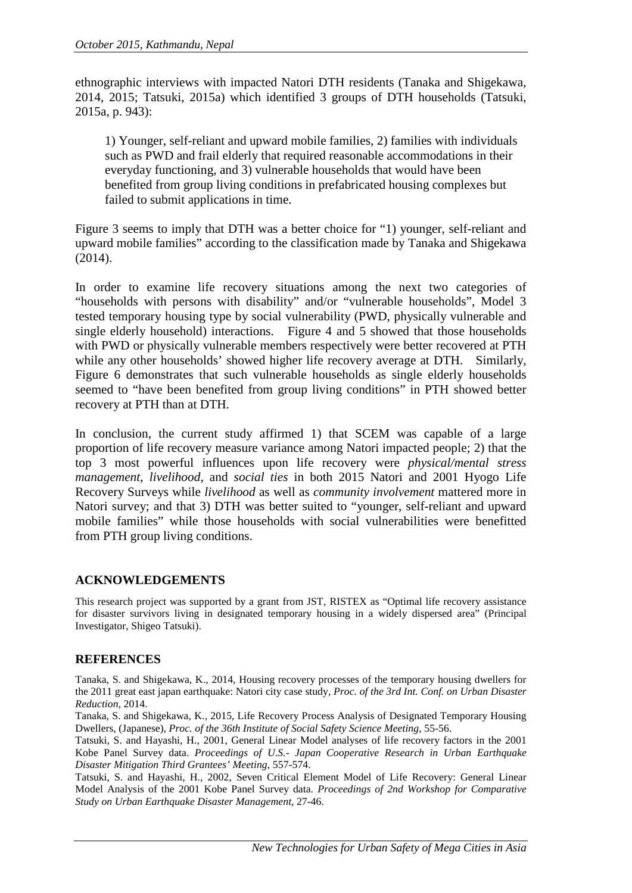ethnographic interviews with impacted Natori DTH residents (Tanaka and Shigekawa, 2014, 2015; Tatsuki, 2015a) which identified 3 groups of DTH households (Tatsuki, 2015a, p. 943):

1) Younger, self-reliant and upward mobile families, 2) families with individuals such as PWD and frail elderly that required reasonable accommodations in their everyday functioning, and 3) vulnerable households that would have been benefited from group living conditions in prefabricated housing complexes but failed to submit applications in time.

Figure 3 seems to imply that DTH was a better choice for "1) younger, self-reliant and upward mobile families" according to the classification made by Tanaka and Shigekawa (2014).

In order to examine life recovery situations among the next two categories of "households with persons with disability" and/or "vulnerable households", Model 3 tested temporary housing type by social vulnerability (PWD, physically vulnerable and single elderly household) interactions. Figure 4 and 5 showed that those households with PWD or physically vulnerable members respectively were better recovered at PTH while any other households' showed higher life recovery average at DTH. Similarly, Figure 6 demonstrates that such vulnerable households as single elderly households seemed to "have been benefited from group living conditions" in PTH showed better recovery at PTH than at DTH.

In conclusion, the current study affirmed 1) that SCEM was capable of a large proportion of life recovery measure variance among Natori impacted people; 2) that the top 3 most powerful influences upon life recovery were *physical/mental stress management*, *livelihood*, and *social ties* in both 2015 Natori and 2001 Hyogo Life Recovery Surveys while *livelihood* as well as *community involvement* mattered more in Natori survey; and that 3) DTH was better suited to "younger, self-reliant and upward mobile families" while those households with social vulnerabilities were benefitted from PTH group living conditions.

# **ACKNOWLEDGEMENTS**

This research project was supported by a grant from JST, RISTEX as "Optimal life recovery assistance for disaster survivors living in designated temporary housing in a widely dispersed area" (Principal Investigator, Shigeo Tatsuki).

# **REFERENCES**

Tanaka, S. and Shigekawa, K., 2014, Housing recovery processes of the temporary housing dwellers for the 2011 great east japan earthquake: Natori city case study, *Proc. of the 3rd Int. Conf. on Urban Disaster Reduction*, 2014.

Tanaka, S. and Shigekawa, K., 2015, Life Recovery Process Analysis of Designated Temporary Housing Dwellers, (Japanese), *Proc. of the 36th Institute of Social Safety Science Meeting*, 55-56.

Tatsuki, S. and Hayashi, H., 2001, General Linear Model analyses of life recovery factors in the 2001 Kobe Panel Survey data. *Proceedings of U.S.- Japan Cooperative Research in Urban Earthquake Disaster Mitigation Third Grantees' Meeting*, 557-574.

Tatsuki, S. and Hayashi, H., 2002, Seven Critical Element Model of Life Recovery: General Linear Model Analysis of the 2001 Kobe Panel Survey data. *Proceedings of 2nd Workshop for Comparative Study on Urban Earthquake Disaster Management*, 27-46.